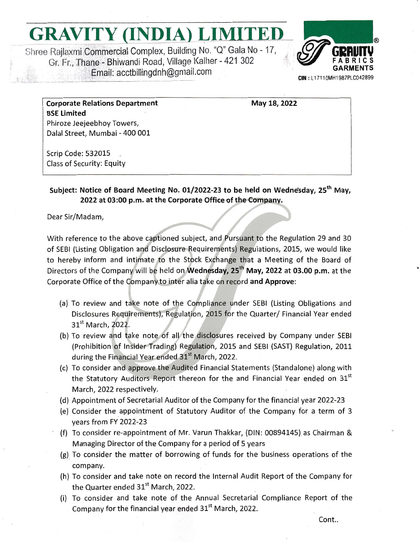## GRAVITY (INDIA) LIMITED

Shree Rajlaxmi Commercial Complex, Building No. "Q" Gala No - 17, Gr. Fr., Thane - Bhiwandi Road, Village Kalher - 421 302 Email: acctbillingdnh@gmail.com



May 18, 2022

**Corporate Relations Department BSE Limited** Phiroze Jeejeebhoy Towers, Dalal Street, Mumbai - 400 001

Scrip Code: 532015 **Class of Security: Equity** 

Subject: Notice of Board Meeting No. 01/2022-23 to be held on Wednesday. 25<sup>th</sup> May. 2022 at 03:00 p.m. at the Corporate Office of the Company.

Dear Sir/Madam,

With reference to the above captioned subject, and Pursuant to the Regulation 29 and 30 of SEBI (Listing Obligation and Disclosure Requirements) Regulations, 2015, we would like to hereby inform and intimate to the Stock Exchange that a Meeting of the Board of Directors of the Company will be held on Wednesday, 25<sup>th</sup> May, 2022 at 03.00 p.m. at the Corporate Office of the Company to inter alia take on record and Approve:

- (a) To review and take note of the Compliance under SEBI (Listing Obligations and Disclosures Requirements), Regulation, 2015 for the Quarter/ Financial Year ended 31<sup>st</sup> March, 2022.
- (b) To review and take note of all the disclosures received by Company under SEBI (Prohibition of Insider Trading) Regulation, 2015 and SEBI (SAST) Regulation, 2011 during the Financial Year ended 31<sup>st</sup> March, 2022.
- (c) To consider and approve the Audited Financial Statements (Standalone) along with the Statutory Auditors Report thereon for the and Financial Year ended on 31<sup>st</sup> March, 2022 respectively.
- (d) Appointment of Secretarial Auditor of the Company for the financial year 2022-23
- (e) Consider the appointment of Statutory Auditor of the Company for a term of 3 years from FY 2022-23
- (f) To consider re-appointment of Mr. Varun Thakkar, (DIN: 00894145) as Chairman & Managing Director of the Company for a period of 5 years
- $(g)$  To consider the matter of borrowing of funds for the business operations of the company.
- (h) To consider and take note on record the Internal Audit Report of the Company for the Quarter ended 31<sup>st</sup> March, 2022.
- (i) To consider and take note of the Annual Secretarial Compliance Report of the Company for the financial year ended 31<sup>st</sup> March, 2022.